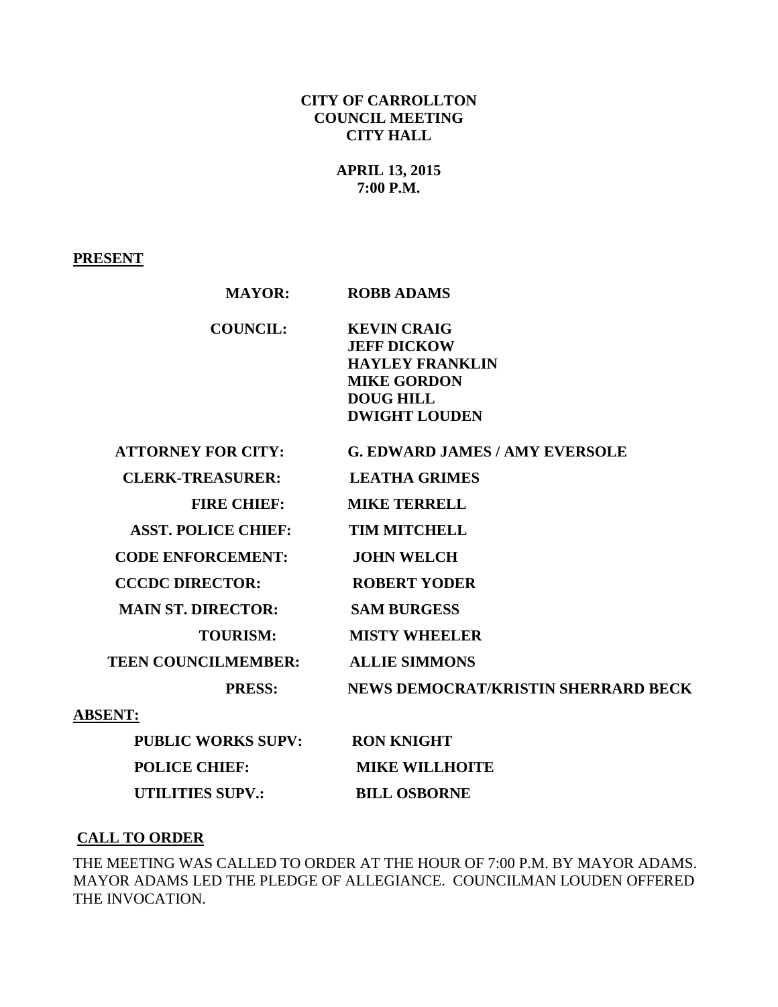## **CITY OF CARROLLTON COUNCIL MEETING CITY HALL**

# **APRIL 13, 2015 7:00 P.M.**

### **PRESENT**

| <b>MAYOR:</b>              | <b>ROBB ADAMS</b>                                                                                                                    |
|----------------------------|--------------------------------------------------------------------------------------------------------------------------------------|
| <b>COUNCIL:</b>            | <b>KEVIN CRAIG</b><br><b>JEFF DICKOW</b><br><b>HAYLEY FRANKLIN</b><br><b>MIKE GORDON</b><br><b>DOUG HILL</b><br><b>DWIGHT LOUDEN</b> |
| <b>ATTORNEY FOR CITY:</b>  | <b>G. EDWARD JAMES / AMY EVERSOLE</b>                                                                                                |
| <b>CLERK-TREASURER:</b>    | <b>LEATHA GRIMES</b>                                                                                                                 |
| <b>FIRE CHIEF:</b>         | <b>MIKE TERRELL</b>                                                                                                                  |
| <b>ASST. POLICE CHIEF:</b> | <b>TIM MITCHELL</b>                                                                                                                  |
| <b>CODE ENFORCEMENT:</b>   | <b>JOHN WELCH</b>                                                                                                                    |
| <b>CCCDC DIRECTOR:</b>     | <b>ROBERT YODER</b>                                                                                                                  |
| <b>MAIN ST. DIRECTOR:</b>  | <b>SAM BURGESS</b>                                                                                                                   |
| <b>TOURISM:</b>            | <b>MISTY WHEELER</b>                                                                                                                 |
| <b>TEEN COUNCILMEMBER:</b> | <b>ALLIE SIMMONS</b>                                                                                                                 |
| <b>PRESS:</b>              | NEWS DEMOCRAT/KRISTIN SHERRARD BECK                                                                                                  |
| <b>ABSENT:</b>             |                                                                                                                                      |

| <b>PUBLIC WORKS SUPV:</b> | <b>RON KNIGHT</b>     |
|---------------------------|-----------------------|
| <b>POLICE CHIEF:</b>      | <b>MIKE WILLHOITE</b> |
| UTILITIES SUPV.:          | <b>BILL OSBORNE</b>   |

## **CALL TO ORDER**

THE MEETING WAS CALLED TO ORDER AT THE HOUR OF 7:00 P.M. BY MAYOR ADAMS. MAYOR ADAMS LED THE PLEDGE OF ALLEGIANCE. COUNCILMAN LOUDEN OFFERED THE INVOCATION.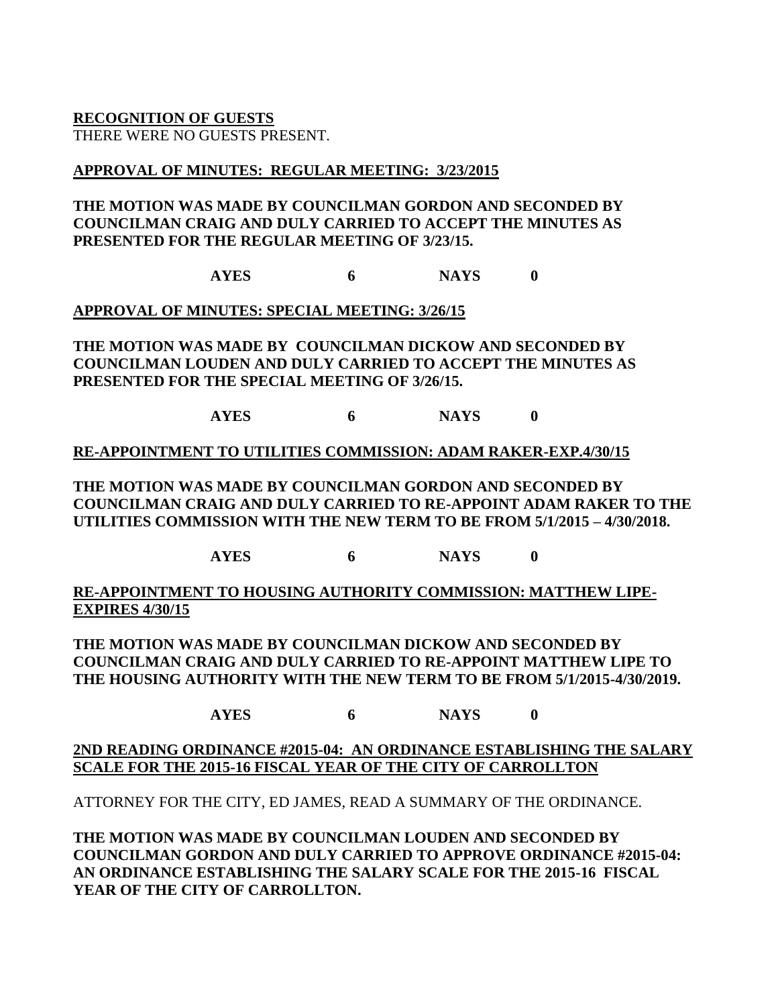**RECOGNITION OF GUESTS**

THERE WERE NO GUESTS PRESENT.

## **APPROVAL OF MINUTES: REGULAR MEETING: 3/23/2015**

## **THE MOTION WAS MADE BY COUNCILMAN GORDON AND SECONDED BY COUNCILMAN CRAIG AND DULY CARRIED TO ACCEPT THE MINUTES AS PRESENTED FOR THE REGULAR MEETING OF 3/23/15.**

**AYES 6 NAYS 0**

**APPROVAL OF MINUTES: SPECIAL MEETING: 3/26/15**

**THE MOTION WAS MADE BY COUNCILMAN DICKOW AND SECONDED BY COUNCILMAN LOUDEN AND DULY CARRIED TO ACCEPT THE MINUTES AS PRESENTED FOR THE SPECIAL MEETING OF 3/26/15.**

**AYES 6 NAYS 0**

### **RE-APPOINTMENT TO UTILITIES COMMISSION: ADAM RAKER-EXP.4/30/15**

**THE MOTION WAS MADE BY COUNCILMAN GORDON AND SECONDED BY COUNCILMAN CRAIG AND DULY CARRIED TO RE-APPOINT ADAM RAKER TO THE UTILITIES COMMISSION WITH THE NEW TERM TO BE FROM 5/1/2015 – 4/30/2018.**

**AYES 6 NAYS 0**

**RE-APPOINTMENT TO HOUSING AUTHORITY COMMISSION: MATTHEW LIPE-EXPIRES 4/30/15**

**THE MOTION WAS MADE BY COUNCILMAN DICKOW AND SECONDED BY COUNCILMAN CRAIG AND DULY CARRIED TO RE-APPOINT MATTHEW LIPE TO THE HOUSING AUTHORITY WITH THE NEW TERM TO BE FROM 5/1/2015-4/30/2019.**

**AYES 6 NAYS 0**

### **2ND READING ORDINANCE #2015-04: AN ORDINANCE ESTABLISHING THE SALARY SCALE FOR THE 2015-16 FISCAL YEAR OF THE CITY OF CARROLLTON**

ATTORNEY FOR THE CITY, ED JAMES, READ A SUMMARY OF THE ORDINANCE.

**THE MOTION WAS MADE BY COUNCILMAN LOUDEN AND SECONDED BY COUNCILMAN GORDON AND DULY CARRIED TO APPROVE ORDINANCE #2015-04: AN ORDINANCE ESTABLISHING THE SALARY SCALE FOR THE 2015-16 FISCAL YEAR OF THE CITY OF CARROLLTON.**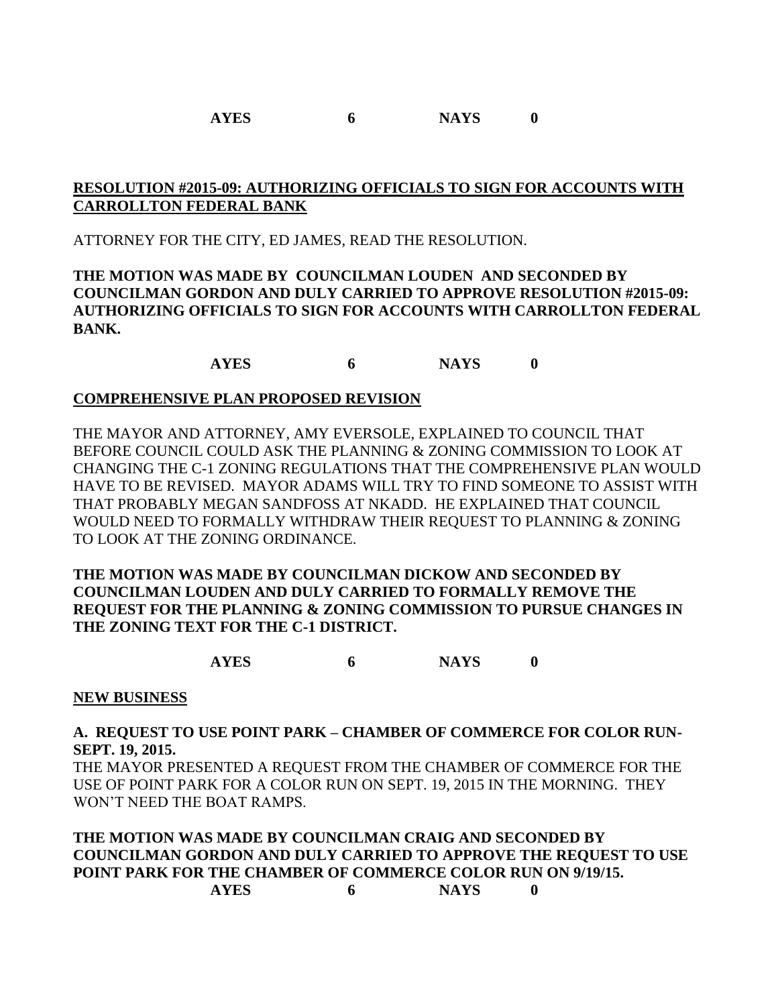## **RESOLUTION #2015-09: AUTHORIZING OFFICIALS TO SIGN FOR ACCOUNTS WITH CARROLLTON FEDERAL BANK**

ATTORNEY FOR THE CITY, ED JAMES, READ THE RESOLUTION.

**THE MOTION WAS MADE BY COUNCILMAN LOUDEN AND SECONDED BY COUNCILMAN GORDON AND DULY CARRIED TO APPROVE RESOLUTION #2015-09: AUTHORIZING OFFICIALS TO SIGN FOR ACCOUNTS WITH CARROLLTON FEDERAL BANK.**

**AYES 6 NAYS 0**

### **COMPREHENSIVE PLAN PROPOSED REVISION**

THE MAYOR AND ATTORNEY, AMY EVERSOLE, EXPLAINED TO COUNCIL THAT BEFORE COUNCIL COULD ASK THE PLANNING & ZONING COMMISSION TO LOOK AT CHANGING THE C-1 ZONING REGULATIONS THAT THE COMPREHENSIVE PLAN WOULD HAVE TO BE REVISED. MAYOR ADAMS WILL TRY TO FIND SOMEONE TO ASSIST WITH THAT PROBABLY MEGAN SANDFOSS AT NKADD. HE EXPLAINED THAT COUNCIL WOULD NEED TO FORMALLY WITHDRAW THEIR REQUEST TO PLANNING & ZONING TO LOOK AT THE ZONING ORDINANCE.

**THE MOTION WAS MADE BY COUNCILMAN DICKOW AND SECONDED BY COUNCILMAN LOUDEN AND DULY CARRIED TO FORMALLY REMOVE THE REQUEST FOR THE PLANNING & ZONING COMMISSION TO PURSUE CHANGES IN THE ZONING TEXT FOR THE C-1 DISTRICT.**

**AYES 6 NAYS 0**

#### **NEW BUSINESS**

### **A. REQUEST TO USE POINT PARK – CHAMBER OF COMMERCE FOR COLOR RUN-SEPT. 19, 2015.**

THE MAYOR PRESENTED A REQUEST FROM THE CHAMBER OF COMMERCE FOR THE USE OF POINT PARK FOR A COLOR RUN ON SEPT. 19, 2015 IN THE MORNING. THEY WON'T NEED THE BOAT RAMPS.

**THE MOTION WAS MADE BY COUNCILMAN CRAIG AND SECONDED BY COUNCILMAN GORDON AND DULY CARRIED TO APPROVE THE REQUEST TO USE POINT PARK FOR THE CHAMBER OF COMMERCE COLOR RUN ON 9/19/15. AYES 6 NAYS 0**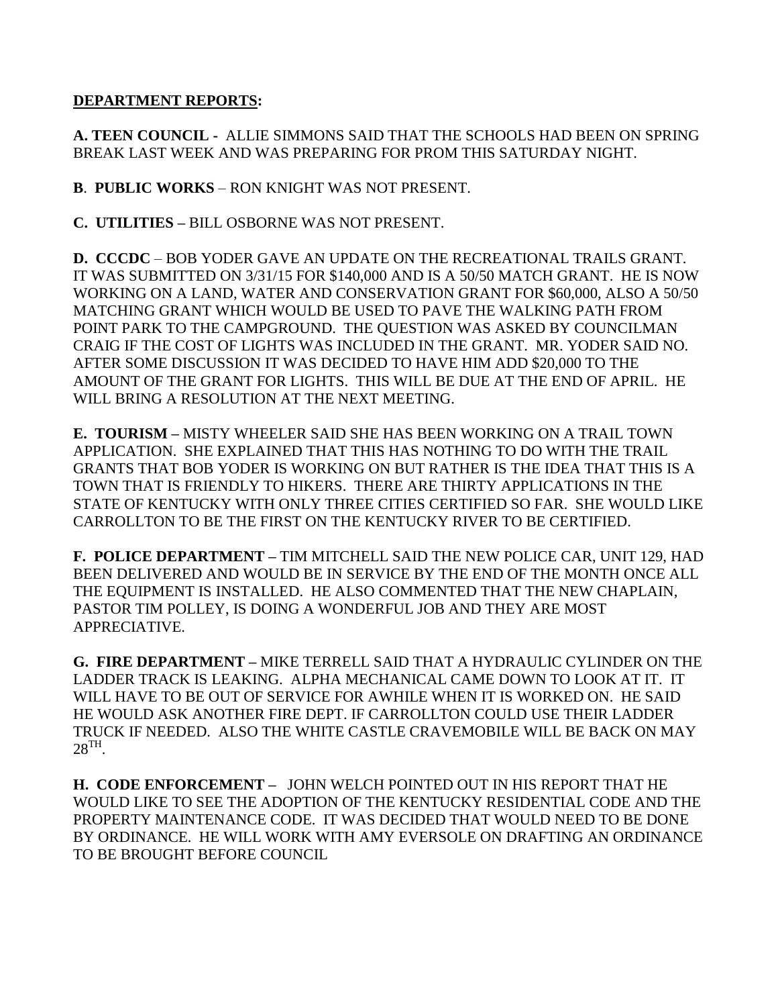### **DEPARTMENT REPORTS:**

**A. TEEN COUNCIL -** ALLIE SIMMONS SAID THAT THE SCHOOLS HAD BEEN ON SPRING BREAK LAST WEEK AND WAS PREPARING FOR PROM THIS SATURDAY NIGHT.

**B**. **PUBLIC WORKS** – RON KNIGHT WAS NOT PRESENT.

**C. UTILITIES –** BILL OSBORNE WAS NOT PRESENT.

**D. CCCDC** – BOB YODER GAVE AN UPDATE ON THE RECREATIONAL TRAILS GRANT. IT WAS SUBMITTED ON 3/31/15 FOR \$140,000 AND IS A 50/50 MATCH GRANT. HE IS NOW WORKING ON A LAND, WATER AND CONSERVATION GRANT FOR \$60,000, ALSO A 50/50 MATCHING GRANT WHICH WOULD BE USED TO PAVE THE WALKING PATH FROM POINT PARK TO THE CAMPGROUND. THE QUESTION WAS ASKED BY COUNCILMAN CRAIG IF THE COST OF LIGHTS WAS INCLUDED IN THE GRANT. MR. YODER SAID NO. AFTER SOME DISCUSSION IT WAS DECIDED TO HAVE HIM ADD \$20,000 TO THE AMOUNT OF THE GRANT FOR LIGHTS. THIS WILL BE DUE AT THE END OF APRIL. HE WILL BRING A RESOLUTION AT THE NEXT MEETING.

**E. TOURISM –** MISTY WHEELER SAID SHE HAS BEEN WORKING ON A TRAIL TOWN APPLICATION. SHE EXPLAINED THAT THIS HAS NOTHING TO DO WITH THE TRAIL GRANTS THAT BOB YODER IS WORKING ON BUT RATHER IS THE IDEA THAT THIS IS A TOWN THAT IS FRIENDLY TO HIKERS. THERE ARE THIRTY APPLICATIONS IN THE STATE OF KENTUCKY WITH ONLY THREE CITIES CERTIFIED SO FAR. SHE WOULD LIKE CARROLLTON TO BE THE FIRST ON THE KENTUCKY RIVER TO BE CERTIFIED.

**F. POLICE DEPARTMENT –** TIM MITCHELL SAID THE NEW POLICE CAR, UNIT 129, HAD BEEN DELIVERED AND WOULD BE IN SERVICE BY THE END OF THE MONTH ONCE ALL THE EQUIPMENT IS INSTALLED. HE ALSO COMMENTED THAT THE NEW CHAPLAIN, PASTOR TIM POLLEY, IS DOING A WONDERFUL JOB AND THEY ARE MOST APPRECIATIVE.

**G. FIRE DEPARTMENT –** MIKE TERRELL SAID THAT A HYDRAULIC CYLINDER ON THE LADDER TRACK IS LEAKING. ALPHA MECHANICAL CAME DOWN TO LOOK AT IT. IT WILL HAVE TO BE OUT OF SERVICE FOR AWHILE WHEN IT IS WORKED ON. HE SAID HE WOULD ASK ANOTHER FIRE DEPT. IF CARROLLTON COULD USE THEIR LADDER TRUCK IF NEEDED. ALSO THE WHITE CASTLE CRAVEMOBILE WILL BE BACK ON MAY  $28^{\text{TH}}$ .

**H. CODE ENFORCEMENT –** JOHN WELCH POINTED OUT IN HIS REPORT THAT HE WOULD LIKE TO SEE THE ADOPTION OF THE KENTUCKY RESIDENTIAL CODE AND THE PROPERTY MAINTENANCE CODE. IT WAS DECIDED THAT WOULD NEED TO BE DONE BY ORDINANCE. HE WILL WORK WITH AMY EVERSOLE ON DRAFTING AN ORDINANCE TO BE BROUGHT BEFORE COUNCIL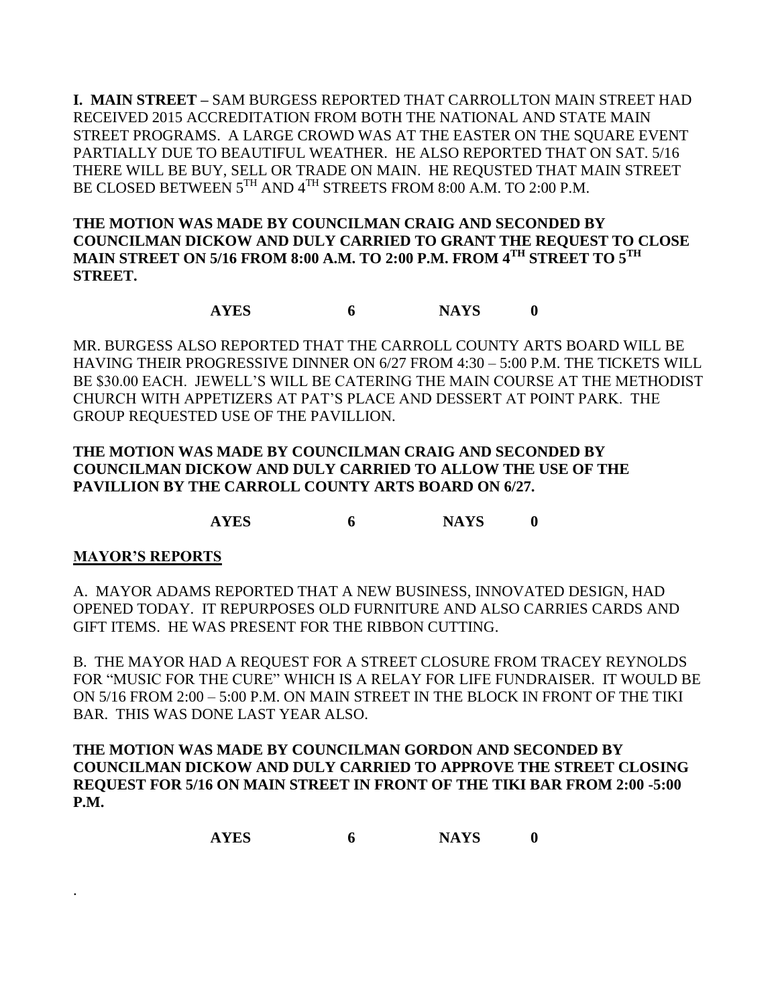**I. MAIN STREET –** SAM BURGESS REPORTED THAT CARROLLTON MAIN STREET HAD RECEIVED 2015 ACCREDITATION FROM BOTH THE NATIONAL AND STATE MAIN STREET PROGRAMS. A LARGE CROWD WAS AT THE EASTER ON THE SQUARE EVENT PARTIALLY DUE TO BEAUTIFUL WEATHER. HE ALSO REPORTED THAT ON SAT. 5/16 THERE WILL BE BUY, SELL OR TRADE ON MAIN. HE REQUSTED THAT MAIN STREET BE CLOSED BETWEEN 5TH AND 4TH STREETS FROM 8:00 A.M. TO 2:00 P.M.

**THE MOTION WAS MADE BY COUNCILMAN CRAIG AND SECONDED BY COUNCILMAN DICKOW AND DULY CARRIED TO GRANT THE REQUEST TO CLOSE MAIN STREET ON 5/16 FROM 8:00 A.M. TO 2:00 P.M. FROM 4TH STREET TO 5TH STREET.**

## **AYES 6 NAYS 0**

MR. BURGESS ALSO REPORTED THAT THE CARROLL COUNTY ARTS BOARD WILL BE HAVING THEIR PROGRESSIVE DINNER ON 6/27 FROM 4:30 – 5:00 P.M. THE TICKETS WILL BE \$30.00 EACH. JEWELL'S WILL BE CATERING THE MAIN COURSE AT THE METHODIST CHURCH WITH APPETIZERS AT PAT'S PLACE AND DESSERT AT POINT PARK. THE GROUP REQUESTED USE OF THE PAVILLION.

## **THE MOTION WAS MADE BY COUNCILMAN CRAIG AND SECONDED BY COUNCILMAN DICKOW AND DULY CARRIED TO ALLOW THE USE OF THE PAVILLION BY THE CARROLL COUNTY ARTS BOARD ON 6/27.**

**AYES 6 NAYS 0**

## **MAYOR'S REPORTS**

.

A. MAYOR ADAMS REPORTED THAT A NEW BUSINESS, INNOVATED DESIGN, HAD OPENED TODAY. IT REPURPOSES OLD FURNITURE AND ALSO CARRIES CARDS AND GIFT ITEMS. HE WAS PRESENT FOR THE RIBBON CUTTING.

B. THE MAYOR HAD A REQUEST FOR A STREET CLOSURE FROM TRACEY REYNOLDS FOR "MUSIC FOR THE CURE" WHICH IS A RELAY FOR LIFE FUNDRAISER. IT WOULD BE ON 5/16 FROM 2:00 – 5:00 P.M. ON MAIN STREET IN THE BLOCK IN FRONT OF THE TIKI BAR. THIS WAS DONE LAST YEAR ALSO.

**THE MOTION WAS MADE BY COUNCILMAN GORDON AND SECONDED BY COUNCILMAN DICKOW AND DULY CARRIED TO APPROVE THE STREET CLOSING REQUEST FOR 5/16 ON MAIN STREET IN FRONT OF THE TIKI BAR FROM 2:00 -5:00 P.M.**

**AYES 6 NAYS 0**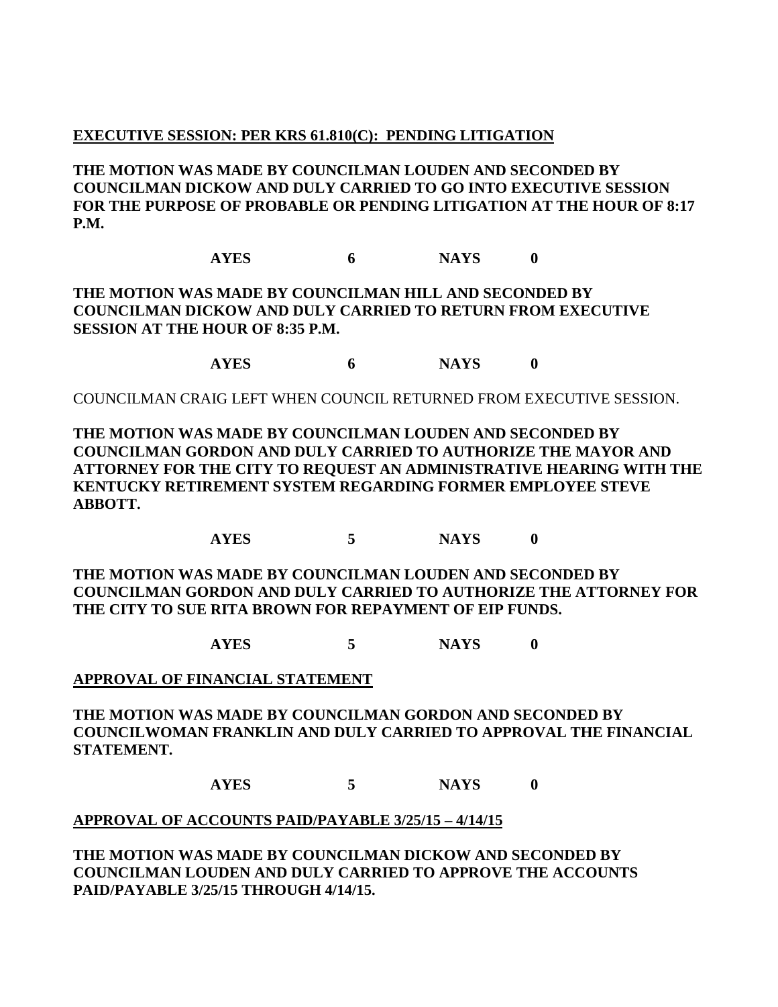### **EXECUTIVE SESSION: PER KRS 61.810(C): PENDING LITIGATION**

**THE MOTION WAS MADE BY COUNCILMAN LOUDEN AND SECONDED BY COUNCILMAN DICKOW AND DULY CARRIED TO GO INTO EXECUTIVE SESSION FOR THE PURPOSE OF PROBABLE OR PENDING LITIGATION AT THE HOUR OF 8:17 P.M.**

**AYES 6 NAYS 0**

**THE MOTION WAS MADE BY COUNCILMAN HILL AND SECONDED BY COUNCILMAN DICKOW AND DULY CARRIED TO RETURN FROM EXECUTIVE SESSION AT THE HOUR OF 8:35 P.M.**

**AYES 6 NAYS 0**

COUNCILMAN CRAIG LEFT WHEN COUNCIL RETURNED FROM EXECUTIVE SESSION.

**THE MOTION WAS MADE BY COUNCILMAN LOUDEN AND SECONDED BY COUNCILMAN GORDON AND DULY CARRIED TO AUTHORIZE THE MAYOR AND ATTORNEY FOR THE CITY TO REQUEST AN ADMINISTRATIVE HEARING WITH THE KENTUCKY RETIREMENT SYSTEM REGARDING FORMER EMPLOYEE STEVE ABBOTT.**

**AYES 5 NAYS 0**

**THE MOTION WAS MADE BY COUNCILMAN LOUDEN AND SECONDED BY COUNCILMAN GORDON AND DULY CARRIED TO AUTHORIZE THE ATTORNEY FOR THE CITY TO SUE RITA BROWN FOR REPAYMENT OF EIP FUNDS.**

**AYES 5 NAYS 0**

#### **APPROVAL OF FINANCIAL STATEMENT**

**THE MOTION WAS MADE BY COUNCILMAN GORDON AND SECONDED BY COUNCILWOMAN FRANKLIN AND DULY CARRIED TO APPROVAL THE FINANCIAL STATEMENT.**

**AYES 5 NAYS 0**

#### **APPROVAL OF ACCOUNTS PAID/PAYABLE 3/25/15 – 4/14/15**

**THE MOTION WAS MADE BY COUNCILMAN DICKOW AND SECONDED BY COUNCILMAN LOUDEN AND DULY CARRIED TO APPROVE THE ACCOUNTS PAID/PAYABLE 3/25/15 THROUGH 4/14/15.**